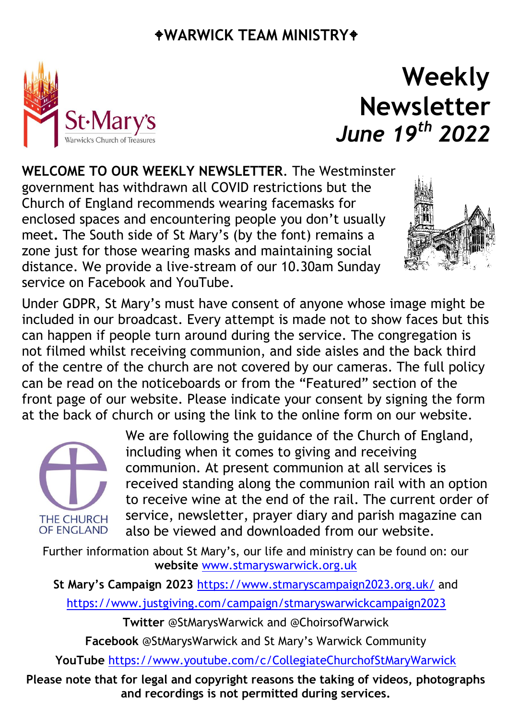#### **WARWICK TEAM MINISTRY**



### **Weekly Newsletter** *June 19 th 2022*

**WELCOME TO OUR WEEKLY NEWSLETTER**. The Westminster government has withdrawn all COVID restrictions but the Church of England recommends wearing facemasks for enclosed spaces and encountering people you don't usually meet**.** The South side of St Mary's (by the font) remains a zone just for those wearing masks and maintaining social distance. We provide a live-stream of our 10.30am Sunday service on Facebook and YouTube.



Under GDPR, St Mary's must have consent of anyone whose image might be included in our broadcast. Every attempt is made not to show faces but this can happen if people turn around during the service. The congregation is not filmed whilst receiving communion, and side aisles and the back third of the centre of the church are not covered by our cameras. The full policy can be read on the noticeboards or from the "Featured" section of the front page of our website. Please indicate your consent by signing the form at the back of church or using the link to the online form on our website.



We are following the guidance of the Church of England, including when it comes to giving and receiving communion. At present communion at all services is received standing along the communion rail with an option to receive wine at the end of the rail. The current order of service, newsletter, prayer diary and parish magazine can also be viewed and downloaded from our website.

Further information about St Mary's, our life and ministry can be found on: our **website** [www.stmaryswarwick.org.uk](http://www.stmaryswarwick.org.uk/)

**St Mary's Campaign 2023** <https://www.stmaryscampaign2023.org.uk/> and

<https://www.justgiving.com/campaign/stmaryswarwickcampaign2023>

**Twitter** @StMarysWarwick and @ChoirsofWarwick

**Facebook** @StMarysWarwick and St Mary's Warwick Community

**YouTube** <https://www.youtube.com/c/CollegiateChurchofStMaryWarwick>

**Please note that for legal and copyright reasons the taking of videos, photographs and recordings is not permitted during services.**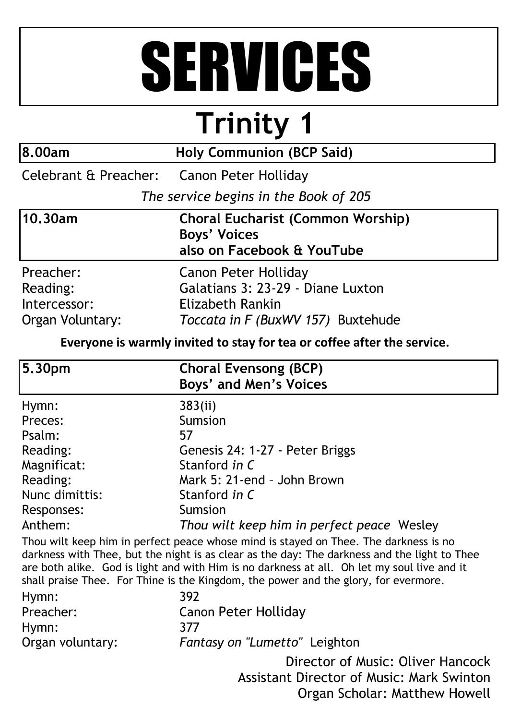# SERVICES

# **Trinity 1**

| 8.00am                                                    | <b>Holy Communion (BCP Said)</b>                                                                                           |  |  |
|-----------------------------------------------------------|----------------------------------------------------------------------------------------------------------------------------|--|--|
| Celebrant & Preacher: Canon Peter Holliday                |                                                                                                                            |  |  |
|                                                           | The service begins in the Book of 205                                                                                      |  |  |
| 10.30am                                                   | <b>Choral Eucharist (Common Worship)</b><br><b>Boys' Voices</b><br>also on Facebook & YouTube                              |  |  |
| Preacher:<br>Reading:<br>Intercessor:<br>Organ Voluntary: | <b>Canon Peter Holliday</b><br>Galatians 3: 23-29 - Diane Luxton<br>Elizabeth Rankin<br>Toccata in F (BuxWV 157) Buxtehude |  |  |

**Everyone is warmly invited to stay for tea or coffee after the service.**

| 5.30pm         | <b>Choral Evensong (BCP)</b><br><b>Boys' and Men's Voices</b> |
|----------------|---------------------------------------------------------------|
| Hymn:          | 383(ii)                                                       |
| Preces:        | <b>Sumsion</b>                                                |
| Psalm:         | 57                                                            |
| Reading:       | Genesis 24: 1-27 - Peter Briggs                               |
| Magnificat:    | Stanford in C                                                 |
| Reading:       | Mark 5: 21-end - John Brown                                   |
| Nunc dimittis: | Stanford in C                                                 |
| Responses:     | Sumsion                                                       |
| Anthem:        | Thou wilt keep him in perfect peace Wesley                    |

Thou wilt keep him in perfect peace whose mind is stayed on Thee. The darkness is no darkness with Thee, but the night is as clear as the day: The darkness and the light to Thee are both alike. God is light and with Him is no darkness at all. Oh let my soul live and it shall praise Thee. For Thine is the Kingdom, the power and the glory, for evermore.

| Hymn:            | 392                               |
|------------------|-----------------------------------|
| Preacher:        | <b>Canon Peter Holliday</b>       |
| Hymn:            | 377                               |
| Organ voluntary: | Fantasy on "Lumetto" Leighton     |
|                  | Director of Music: Oliver Hancock |

Assistant Director of Music: Mark Swinton Organ Scholar: Matthew Howell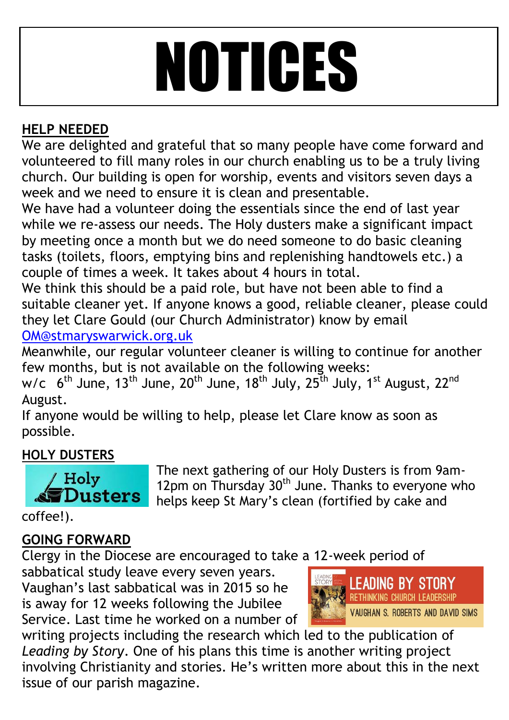# NOTICES

#### **HELP NEEDED**

We are delighted and grateful that so many people have come forward and volunteered to fill many roles in our church enabling us to be a truly living church. Our building is open for worship, events and visitors seven days a week and we need to ensure it is clean and presentable.

We have had a volunteer doing the essentials since the end of last year while we re-assess our needs. The Holy dusters make a significant impact by meeting once a month but we do need someone to do basic cleaning tasks (toilets, floors, emptying bins and replenishing handtowels etc.) a couple of times a week. It takes about 4 hours in total.

We think this should be a paid role, but have not been able to find a suitable cleaner yet. If anyone knows a good, reliable cleaner, please could they let Clare Gould (our Church Administrator) know by email [OM@stmaryswarwick.org.uk](mailto:OM@stmaryswarwick.org.uk)

Meanwhile, our regular volunteer cleaner is willing to continue for another few months, but is not available on the following weeks:

w/c  $6^{\text{th}}$  June, 13<sup>th</sup> June, 20<sup>th</sup> June, 18<sup>th</sup> July, 25<sup>th</sup> July, 1<sup>st</sup> August, 22<sup>nd</sup> August.

If anyone would be willing to help, please let Clare know as soon as possible.

#### **HOLY DUSTERS**



The next gathering of our Holy Dusters is from 9am-12pm on Thursday 30<sup>th</sup> June. Thanks to everyone who helps keep St Mary's clean (fortified by cake and

coffee!).

#### **GOING FORWARD**

Clergy in the Diocese are encouraged to take a 12-week period of

sabbatical study leave every seven years. Vaughan's last sabbatical was in 2015 so he is away for 12 weeks following the Jubilee Service. Last time he worked on a number of



writing projects including the research which led to the publication of *Leading by Story*. One of his plans this time is another writing project involving Christianity and stories. He's written more about this in the next issue of our parish magazine.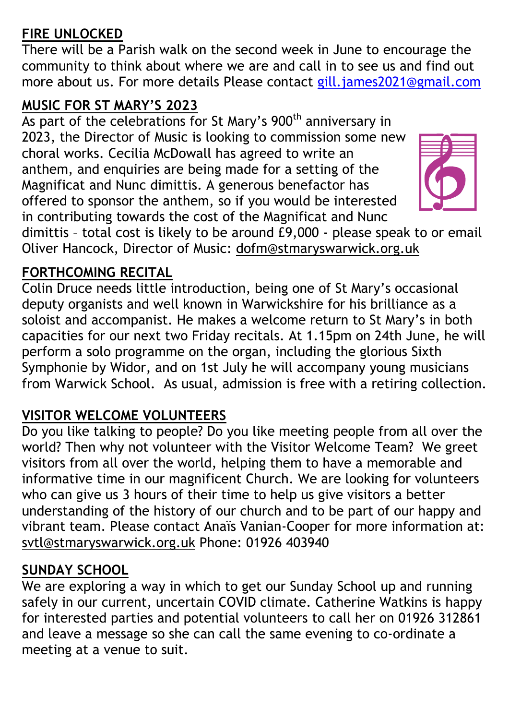#### **FIRE UNLOCKED**

There will be a Parish walk on the second week in June to encourage the community to think about where we are and call in to see us and find out more about us. For more details Please contact [gill.james2021@gmail.com](mailto:gill.james2021@gmail.com)

#### **MUSIC FOR ST MARY'S 2023**

As part of the celebrations for St Mary's 900<sup>th</sup> anniversary in 2023, the Director of Music is looking to commission some new choral works. Cecilia McDowall has agreed to write an anthem, and enquiries are being made for a setting of the Magnificat and Nunc dimittis. A generous benefactor has offered to sponsor the anthem, so if you would be interested in contributing towards the cost of the Magnificat and Nunc



dimittis – total cost is likely to be around £9,000 - please speak to or email Oliver Hancock, Director of Music: [dofm@stmaryswarwick.org.uk](mailto:dofm@stmaryswarwick.org.uk)

#### **FORTHCOMING RECITAL**

Colin Druce needs little introduction, being one of St Mary's occasional deputy organists and well known in Warwickshire for his brilliance as a soloist and accompanist. He makes a welcome return to St Mary's in both capacities for our next two Friday recitals. At 1.15pm on 24th June, he will perform a solo programme on the organ, including the glorious Sixth Symphonie by Widor, and on 1st July he will accompany young musicians from Warwick School. As usual, admission is free with a retiring collection.

#### **VISITOR WELCOME VOLUNTEERS**

Do you like talking to people? Do you like meeting people from all over the world? Then why not volunteer with the Visitor Welcome Team? We greet visitors from all over the world, helping them to have a memorable and informative time in our magnificent Church. We are looking for volunteers who can give us 3 hours of their time to help us give visitors a better understanding of the history of our church and to be part of our happy and vibrant team. Please contact Anaïs Vanian-Cooper for more information at: [svtl@stmaryswarwick.org.uk](mailto:svtl@stmaryswarwick.org.uk) Phone: 01926 403940

#### **SUNDAY SCHOOL**

We are exploring a way in which to get our Sunday School up and running safely in our current, uncertain COVID climate. Catherine Watkins is happy for interested parties and potential volunteers to call her on 01926 312861 and leave a message so she can call the same evening to co-ordinate a meeting at a venue to suit.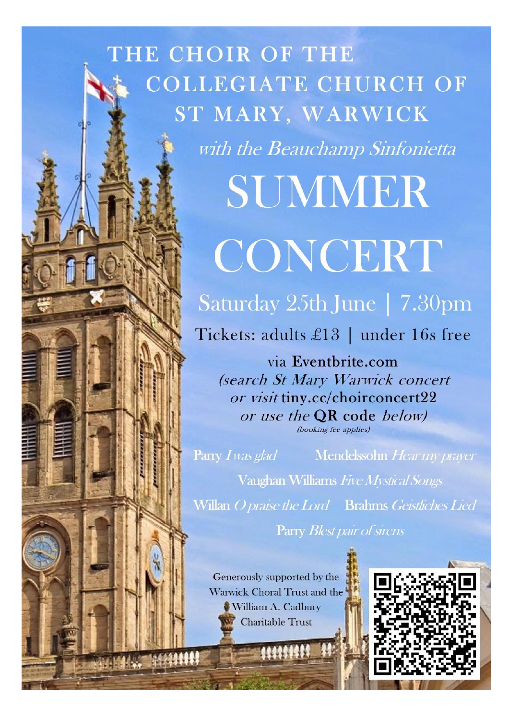### THE CHOIR OF THE **COLLEGIATE CHURCH OF** ST MARY, WARWICK

with the Beauchamp Sinfonietta

# SUMMER CONCERT

Saturday 25th June | 7.30pm

Tickets: adults £13 | under 16s free

via Eventbrite.com (search St Mary Warwick concert or visit tiny.cc/choirconcert22 or use the **QR** code *below*) (booking fee applies)

Parry I was glad

Mendelssohn Hear my prayer

Vaughan Williams Five Mystical Songs Willan Opraise the Lord Brahms Geistliches Lied Parry Blest pair of sirens

Generously supported by the Warwick Choral Trust and the William A. Cadbury **Charitable Trust** 

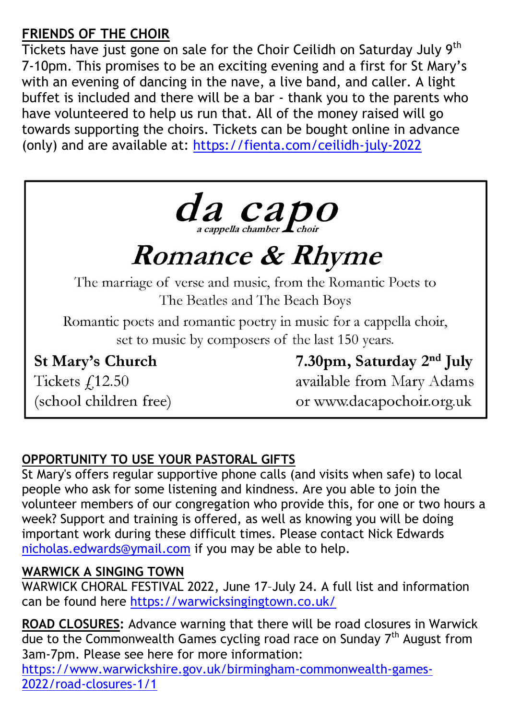#### **FRIENDS OF THE CHOIR**

Tickets have just gone on sale for the Choir Ceilidh on Saturday July 9<sup>th</sup> 7-10pm. This promises to be an exciting evening and a first for St Mary's with an evening of dancing in the nave, a live band, and caller. A light buffet is included and there will be a bar - thank you to the parents who have volunteered to help us run that. All of the money raised will go towards supporting the choirs. Tickets can be bought online in advance (only) and are available at:<https://fienta.com/ceilidh-july-2022>



## **Romance & Rhyme**

The marriage of verse and music, from the Romantic Poets to The Beatles and The Beach Boys

Romantic poets and romantic poetry in music for a cappella choir, set to music by composers of the last 150 years.

**St Mary's Church** 

Tickets £12.50 (school children free) 7.30pm, Saturday 2<sup>nd</sup> July available from Mary Adams or www.dacapochoir.org.uk

#### **OPPORTUNITY TO USE YOUR PASTORAL GIFTS**

St Mary's offers regular supportive phone calls (and visits when safe) to local people who ask for some listening and kindness. Are you able to join the volunteer members of our congregation who provide this, for one or two hours a week? Support and training is offered, as well as knowing you will be doing important work during these difficult times. Please contact Nick Edwards [nicholas.edwards@ymail.com](mailto:nicholas.edwards@ymail.com) if you may be able to help.

#### **WARWICK A SINGING TOWN**

WARWICK CHORAL FESTIVAL 2022, June 17–July 24. A full list and information can be found here<https://warwicksingingtown.co.uk/>

**ROAD CLOSURES:** Advance warning that there will be road closures in Warwick due to the Commonwealth Games cycling road race on Sunday  $7<sup>th</sup>$  August from 3am-7pm. Please see here for more information: [https://www.warwickshire.gov.uk/birmingham-commonwealth-games-](https://www.warwickshire.gov.uk/birmingham-commonwealth-games-2022/road-closures-1/1)

[2022/road-closures-1/1](https://www.warwickshire.gov.uk/birmingham-commonwealth-games-2022/road-closures-1/1)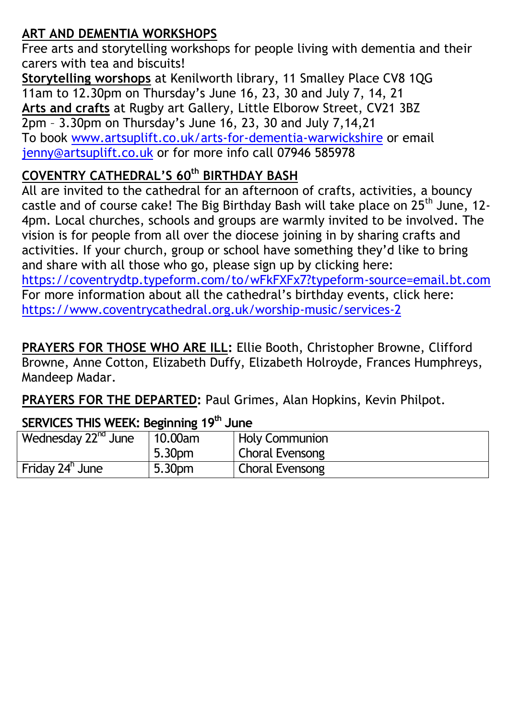#### **ART AND DEMENTIA WORKSHOPS**

Free arts and storytelling workshops for people living with dementia and their carers with tea and biscuits!

**Storytelling worshops** at Kenilworth library, 11 Smalley Place CV8 1QG 11am to 12.30pm on Thursday's June 16, 23, 30 and July 7, 14, 21 **Arts and crafts** at Rugby art Gallery, Little Elborow Street, CV21 3BZ 2pm – 3.30pm on Thursday's June 16, 23, 30 and July 7,14,21 To book [www.artsuplift.co.uk/arts-for-dementia-warwickshire](http://www.artsuplift.co.uk/arts-for-dementia-warwickshire) or email [jenny@artsuplift.co.uk](mailto:jenny@artsuplift.co.uk) or for more info call 07946 585978

#### **COVENTRY CATHEDRAL'S 60th BIRTHDAY BASH**

All are invited to the cathedral for an afternoon of crafts, activities, a bouncy castle and of course cake! The Big Birthday Bash will take place on  $25<sup>th</sup>$  June, 12-4pm. Local churches, schools and groups are warmly invited to be involved. The vision is for people from all over the diocese joining in by sharing crafts and activities. If your church, group or school have something they'd like to bring and share with all those who go, please sign up by clicking here: <https://coventrydtp.typeform.com/to/wFkFXFx7?typeform-source=email.bt.com> For more information about all the cathedral's birthday events, click here: <https://www.coventrycathedral.org.uk/worship-music/services-2>

**PRAYERS FOR THOSE WHO ARE ILL:** Ellie Booth, Christopher Browne, Clifford Browne, Anne Cotton, Elizabeth Duffy, Elizabeth Holroyde, Frances Humphreys, Mandeep Madar.

**PRAYERS FOR THE DEPARTED:** Paul Grimes, Alan Hopkins, Kevin Philpot.

#### **SERVICES THIS WEEK: Beginning 19 th June**

| Wednesday 22 <sup>nd</sup> June | 10.00am | <b>Holy Communion</b>  |
|---------------------------------|---------|------------------------|
|                                 | 5.30pm  | Choral Evensong        |
| Friday 24 <sup>h</sup> June     | 5.30pm  | <b>Choral Evensong</b> |